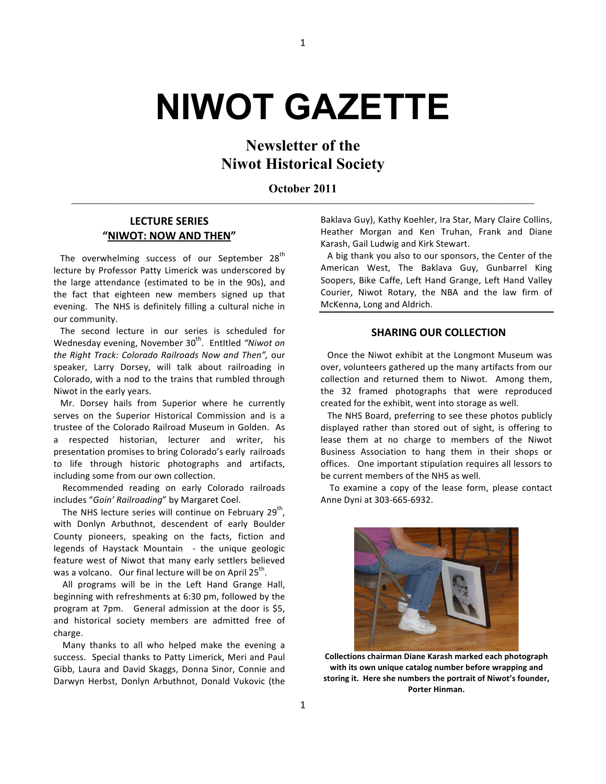# **NIWOT GAZETTE**

## **Newsletter of the Niwot Historical Society**

**October 2011 \_\_\_\_\_\_\_\_\_\_\_\_\_\_\_\_\_\_\_\_\_\_\_\_\_\_\_\_\_\_\_\_\_\_\_\_\_\_\_\_\_\_\_\_\_\_\_\_\_\_\_\_\_\_\_\_\_\_\_\_\_\_\_\_\_\_\_\_\_\_\_\_\_\_\_\_\_\_\_\_\_\_\_\_\_\_\_\_\_\_\_\_\_\_\_\_\_\_\_\_\_\_\_\_\_\_\_\_\_\_\_\_\_\_\_\_\_**

#### **LECTURE'SERIES "NIWOT:'NOW'AND'THEN"**

The overwhelming success of our September 28<sup>th</sup> lecture by Professor Patty Limerick was underscored by the large attendance (estimated to be in the 90s), and the fact that eighteen new members signed up that evening. The NHS is definitely filling a cultural niche in our community.

The second lecture in our series is scheduled for Wednesday evening, November 30<sup>th</sup>. Entitled "Niwot on *the Right Track: Colorado Railroads Now and Then", our* speaker, Larry Dorsey, will talk about railroading in Colorado, with a nod to the trains that rumbled through Niwot in the early years.

Mr. Dorsey hails from Superior where he currently serves on the Superior Historical Commission and is a trustee of the Colorado Railroad Museum in Golden. As a respected historian, lecturer and writer, his presentation promises to bring Colorado's early railroads to life through historic photographs and artifacts, including some from our own collection.

Recommended reading on early Colorado railroads includes "Goin' Railroading" by Margaret Coel.

The NHS lecture series will continue on February 29<sup>th</sup>, with Donlyn Arbuthnot, descendent of early Boulder County pioneers, speaking on the facts, fiction and legends of Haystack Mountain - the unique geologic feature west of Niwot that many early settlers believed was a volcano. Our final lecture will be on April  $25<sup>th</sup>$ .

All programs will be in the Left Hand Grange Hall, beginning with refreshments at 6:30 pm, followed by the program at 7pm. General admission at the door is \$5, and historical society members are admitted free of charge.

Many thanks to all who helped make the evening a success. Special thanks to Patty Limerick, Meri and Paul Gibb, Laura and David Skaggs, Donna Sinor, Connie and Darwyn Herbst, Donlyn Arbuthnot, Donald Vukovic (the Baklava Guy), Kathy Koehler, Ira Star, Mary Claire Collins, Heather Morgan and Ken Truhan, Frank and Diane Karash, Gail Ludwig and Kirk Stewart.

A big thank you also to our sponsors, the Center of the American West, The Baklava Guy, Gunbarrel King Soopers, Bike Caffe, Left Hand Grange, Left Hand Valley Courier, Niwot Rotary, the NBA and the law firm of McKenna, Long and Aldrich.

#### **SHARING OUR COLLECTION**

Once the Niwot exhibit at the Longmont Museum was over, volunteers gathered up the many artifacts from our collection and returned them to Niwot. Among them, the 32 framed photographs that were reproduced created for the exhibit, went into storage as well.

The NHS Board, preferring to see these photos publicly displayed rather than stored out of sight, is offering to lease them at no charge to members of the Niwot Business Association to hang them in their shops or offices. One important stipulation requires all lessors to be current members of the NHS as well.

To examine a copy of the lease form, please contact Anne Dyni at 303-665-6932.



**Collections'chairman'Diane'Karash'marked'each'photograph'** with its own unique catalog number before wrapping and storing it. Here she numbers the portrait of Niwot's founder, Porter Hinman.